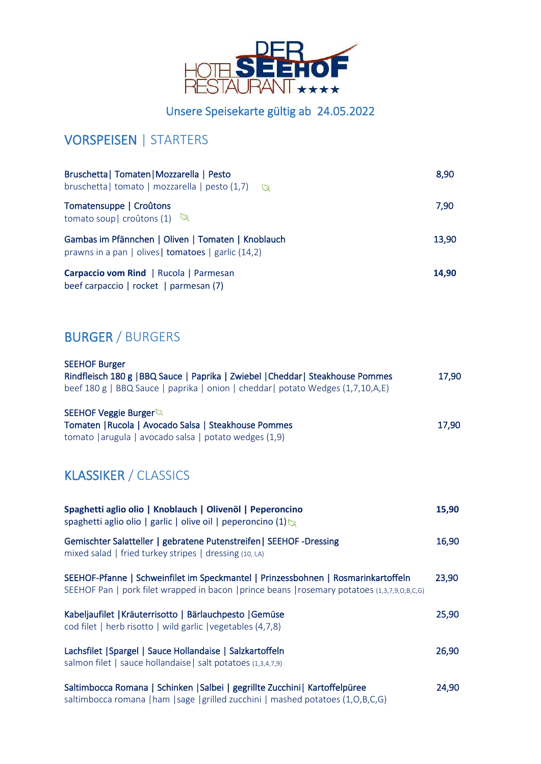

### Unsere Speisekarte gültig ab 24.05.2022

# VORSPEISEN | STARTERS

| Bruschetta   Tomaten   Mozzarella   Pesto<br>bruschetta   tomato   mozzarella   pesto (1,7) $\qquad \qquad \qquad \qquad$ | 8,90  |
|---------------------------------------------------------------------------------------------------------------------------|-------|
| Tomatensuppe   Croûtons<br>tomato soup   croûtons (1) $\sqrt{2}$                                                          | 7,90  |
| Gambas im Pfännchen   Oliven   Tomaten   Knoblauch<br>prawns in a pan   olives   tomatoes   garlic (14,2)                 | 13,90 |
| Carpaccio vom Rind   Rucola   Parmesan<br>beef carpaccio   rocket   parmesan (7)                                          | 14.90 |

# BURGER / BURGERS

| <b>SEEHOF Burger</b><br>Rindfleisch 180 g   BBQ Sauce   Paprika   Zwiebel   Cheddar   Steakhouse Pommes<br>beef 180 g   BBQ Sauce   paprika   onion   cheddar   potato Wedges (1,7,10,A,E) | 17,90 |
|--------------------------------------------------------------------------------------------------------------------------------------------------------------------------------------------|-------|
| SEEHOF Veggie Burger<br>Tomaten   Rucola   Avocado Salsa   Steakhouse Pommes<br>tomato   arugula   avocado salsa   potato wedges $(1,9)$                                                   | 17,90 |
| <b>KLASSIKER / CLASSICS</b>                                                                                                                                                                |       |
| Spaghetti aglio olio   Knoblauch   Olivenöl   Peperoncino<br>spaghetti aglio olio   garlic   olive oil   peperoncino $(1)$                                                                 | 15,90 |
| Gemischter Salatteller   gebratene Putenstreifen   SEEHOF -Dressing<br>mixed salad   fried turkey stripes   dressing (10, I,A)                                                             | 16,90 |
| SEEHOF-Pfanne   Schweinfilet im Speckmantel   Prinzessbohnen   Rosmarinkartoffeln<br>SEEHOF Pan   pork filet wrapped in bacon   prince beans   rosemary potatoes (1,3,7,9,0,B,c,G)         | 23,90 |
| Kabeljaufilet   Kräuterrisotto   Bärlauchpesto   Gemüse<br>cod filet   herb risotto   wild garlic   vegetables (4,7,8)                                                                     | 25,90 |
| Lachsfilet   Spargel   Sauce Hollandaise   Salzkartoffeln<br>salmon filet   sauce hollandaise   salt potatoes (1,3,4,7,9)                                                                  | 26,90 |
| Saltimbocca Romana   Schinken   Salbei   gegrillte Zucchini   Kartoffelpüree<br>saltimbocca romana   ham   sage   grilled zucchini   mashed potatoes (1,0,B,C,G)                           | 24,90 |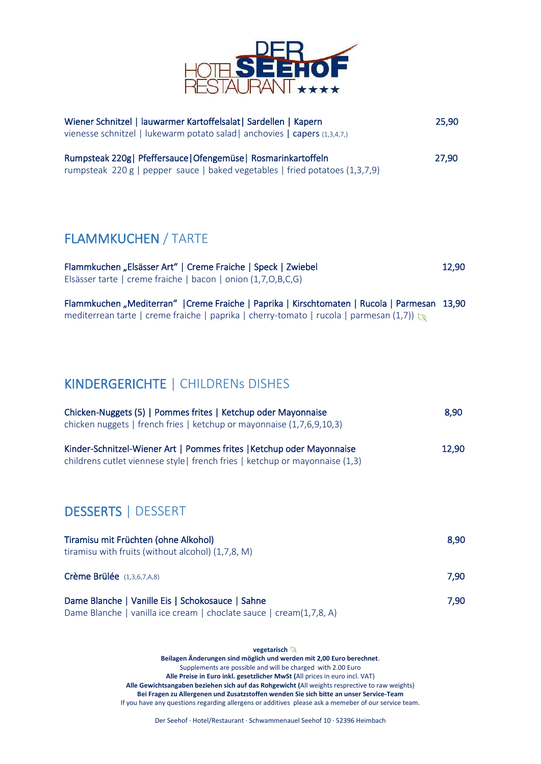

| Wiener Schnitzel   lauwarmer Kartoffelsalat   Sardellen   Kapern<br>vienesse schnitzel   lukewarm potato salad   anchovies   capers (1,3,4,7,)                                                    | 25,90 |
|---------------------------------------------------------------------------------------------------------------------------------------------------------------------------------------------------|-------|
| Rumpsteak 220g   Pfeffersauce   Ofengemüse   Rosmarinkartoffeln<br>rumpsteak 220 g   pepper sauce   baked vegetables   fried potatoes (1,3,7,9)                                                   | 27,90 |
| <b>FLAMMKUCHEN / TARTE</b>                                                                                                                                                                        |       |
| Flammkuchen "Elsässer Art"   Creme Fraiche   Speck   Zwiebel<br>Elsässer tarte   creme fraiche   bacon   onion (1,7,0,B,C,G)                                                                      | 12,90 |
| Flammkuchen "Mediterran"   Creme Fraiche   Paprika   Kirschtomaten   Rucola   Parmesan 13,90<br>mediterrean tarte   creme fraiche   paprika   cherry-tomato   rucola   parmesan (1,7)) $\sqrt{2}$ |       |
| <b>KINDERGERICHTE   CHILDRENS DISHES</b>                                                                                                                                                          |       |
| Chicken-Nuggets (5)   Pommes frites   Ketchup oder Mayonnaise<br>chicken nuggets   french fries   ketchup or mayonnaise (1,7,6,9,10,3)                                                            | 8,90  |
| Kinder-Schnitzel-Wiener Art   Pommes frites   Ketchup oder Mayonnaise<br>childrens cutlet viennese style   french fries   ketchup or mayonnaise (1,3)                                             | 12,90 |
| <b>DESSERTS   DESSERT</b>                                                                                                                                                                         |       |
| Tiramisu mit Früchten (ohne Alkohol)                                                                                                                                                              | 8,90  |

| tiramisu with fruits (without alcohol) (1,7,8, M) | ---  |
|---------------------------------------------------|------|
| <b>Crème Brülée</b> $(1,3,6,7,A,8)$               | 7.90 |
| Dame Blanche   Vanille Eis   Schokosauce   Sahne  | 7.90 |

Dame Blanche | vanilla ice cream | choclate sauce | cream(1,7,8, A)

**vegetarisch Beilagen Änderungen sind möglich und werden mit 2,00 Euro berechnet**. Supplements are possible and will be charged with 2.00 Euro **Alle Preise in Euro inkl. gesetzlicher MwSt (**All prices in euro incl. VAT) **Alle Gewichtsangaben beziehen sich auf das Rohgewicht (**All weights resprective to raw weights) **Bei Fragen zu Allergenen und Zusatzstoffen wenden Sie sich bitte an unser Service-Team** If you have any questions regarding allergens or additives please ask a memeber of our service team.